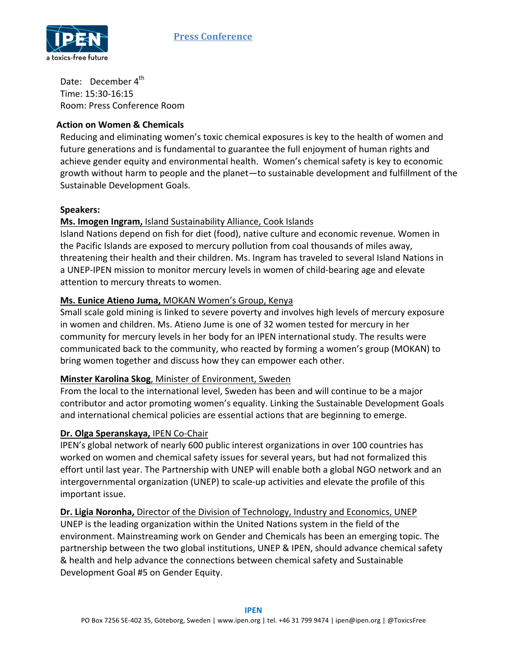

Date: December 4<sup>th</sup> Time: 15:30-16:15 Room: Press Conference Room 

## **Action on Women & Chemicals**

Reducing and eliminating women's toxic chemical exposures is key to the health of women and future generations and is fundamental to guarantee the full enjoyment of human rights and achieve gender equity and environmental health. Women's chemical safety is key to economic growth without harm to people and the planet—to sustainable development and fulfillment of the Sustainable Development Goals.

#### **Speakers:**

## **Ms. Imogen Ingram, Island Sustainability Alliance, Cook Islands**

Island Nations depend on fish for diet (food), native culture and economic revenue. Women in the Pacific Islands are exposed to mercury pollution from coal thousands of miles away, threatening their health and their children. Ms. Ingram has traveled to several Island Nations in a UNEP-IPEN mission to monitor mercury levels in women of child-bearing age and elevate attention to mercury threats to women.

## **Ms. Eunice Atieno Juma, MOKAN Women's Group, Kenya**

Small scale gold mining is linked to severe poverty and involves high levels of mercury exposure in women and children. Ms. Atieno Jume is one of 32 women tested for mercury in her community for mercury levels in her body for an IPEN international study. The results were communicated back to the community, who reacted by forming a women's group (MOKAN) to bring women together and discuss how they can empower each other.

## **Minster Karolina Skog, Minister of Environment, Sweden**

From the local to the international level, Sweden has been and will continue to be a major contributor and actor promoting women's equality. Linking the Sustainable Development Goals and international chemical policies are essential actions that are beginning to emerge.

## **Dr. Olga Speranskaya, IPEN Co-Chair**

IPEN's global network of nearly 600 public interest organizations in over 100 countries has worked on women and chemical safety issues for several years, but had not formalized this effort until last year. The Partnership with UNEP will enable both a global NGO network and an intergovernmental organization (UNEP) to scale-up activities and elevate the profile of this important issue.

**Dr. Ligia Noronha,** Director of the Division of Technology, Industry and Economics, UNEP UNEP is the leading organization within the United Nations system in the field of the environment. Mainstreaming work on Gender and Chemicals has been an emerging topic. The partnership between the two global institutions, UNEP & IPEN, should advance chemical safety & health and help advance the connections between chemical safety and Sustainable Development Goal #5 on Gender Equity.